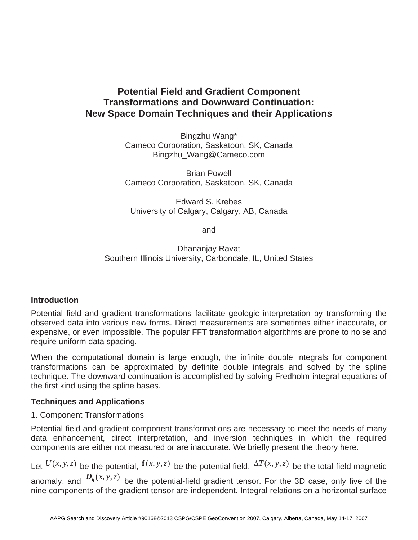# **Potential Field and Gradient Component Transformations and Downward Continuation: New Space Domain Techniques and their Applications**

Bingzhu Wang\* Cameco Corporation, Saskatoon, SK, Canada Bingzhu\_Wang@Cameco.com

Brian Powell Cameco Corporation, Saskatoon, SK, Canada

Edward S. Krebes University of Calgary, Calgary, AB, Canada

and

Dhananjay Ravat Southern Illinois University, Carbondale, IL, United States

## **Introduction**

Potential field and gradient transformations facilitate geologic interpretation by transforming the observed data into various new forms. Direct measurements are sometimes either inaccurate, or expensive, or even impossible. The popular FFT transformation algorithms are prone to noise and require uniform data spacing.

When the computational domain is large enough, the infinite double integrals for component transformations can be approximated by definite double integrals and solved by the spline technique. The downward continuation is accomplished by solving Fredholm integral equations of the first kind using the spline bases.

## **Techniques and Applications**

## 1. Component Transformations

Potential field and gradient component transformations are necessary to meet the needs of many data enhancement, direct interpretation, and inversion techniques in which the required components are either not measured or are inaccurate. We briefly present the theory here.

Let  $U(x, y, z)$  be the potential,  $\mathbf{f}(x, y, z)$  be the potential field,  $\Delta T(x, y, z)$  be the total-field magnetic anomaly, and  $D_{ij}(x, y, z)$  be the potential-field gradient tensor. For the 3D case, only five of the nine components of the gradient tensor are independent. Integral relations on a horizontal surface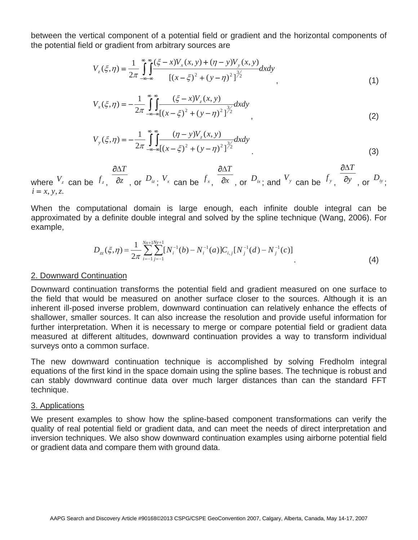between the vertical component of a potential field or gradient and the horizontal components of the potential field or gradient from arbitrary sources are

$$
V_z(\xi, \eta) = \frac{1}{2\pi} \int_{-\infty-\infty}^{\infty} \int_{-\infty}^{\infty} \frac{(\xi - x)V_x(x, y) + (\eta - y)V_y(x, y)}{\left[ (x - \xi)^2 + (y - \eta)^2 \right]^{3/2}} dxdy
$$
\n(1)

$$
V_x(\xi, \eta) = -\frac{1}{2\pi} \int_{-\infty}^{\infty} \int_{-\infty}^{\infty} \frac{(\xi - x)V_z(x, y)}{[(x - \xi)^2 + (y - \eta)^2]^{3/2}} dxdy
$$
\n(2)

$$
V_{y}(\xi,\eta) = -\frac{1}{2\pi} \int_{-\infty}^{\infty} \int_{-\infty}^{\infty} \frac{(\eta - y)V_{z}(x, y)}{[(x - \xi)^{2} + (y - \eta)^{2}]^{\frac{3}{2}}} dxdy
$$
\n(3)

where  $V_z$  can be  $f_z$ ,  $\overline{\partial z}$ *T*  $\partial$  $\frac{\partial \Delta T}{\partial z}$ , or  $D_{iz}$ ;  $V_x$  can be  $f_x$ ,  $\frac{\partial \Delta T}{\partial x}$ *T*  $\partial$  $\frac{\partial \Delta T}{\partial x}$ , or  $D_{ix}$ ; and  $V_{y}$  can be  $f_{y}$ ,  $\frac{\partial \Delta T}{\partial y}$ *T*  $\partial$  $\partial \Delta$ , or  $D_{iy}$ ;  $i = x, y, z.$ 

When the computational domain is large enough, each infinite double integral can be approximated by a definite double integral and solved by the spline technique (Wang, 2006). For example,

$$
D_{zz}(\xi, \eta) = \frac{1}{2\pi} \sum_{i=-1}^{Nx+1Ny+1} [N_i^{-1}(b) - N_i^{-1}(a)] C_{i,j} [N_j^{-1}(d) - N_j^{-1}(c)]
$$
\n(4)

#### 2. Downward Continuation

Downward continuation transforms the potential field and gradient measured on one surface to the field that would be measured on another surface closer to the sources. Although it is an inherent ill-posed inverse problem, downward continuation can relatively enhance the effects of shallower, smaller sources. It can also increase the resolution and provide useful information for further interpretation. When it is necessary to merge or compare potential field or gradient data measured at different altitudes, downward continuation provides a way to transform individual surveys onto a common surface.

The new downward continuation technique is accomplished by solving Fredholm integral equations of the first kind in the space domain using the spline bases. The technique is robust and can stably downward continue data over much larger distances than can the standard FFT technique.

### 3. Applications

We present examples to show how the spline-based component transformations can verify the quality of real potential field or gradient data, and can meet the needs of direct interpretation and inversion techniques. We also show downward continuation examples using airborne potential field or gradient data and compare them with ground data.